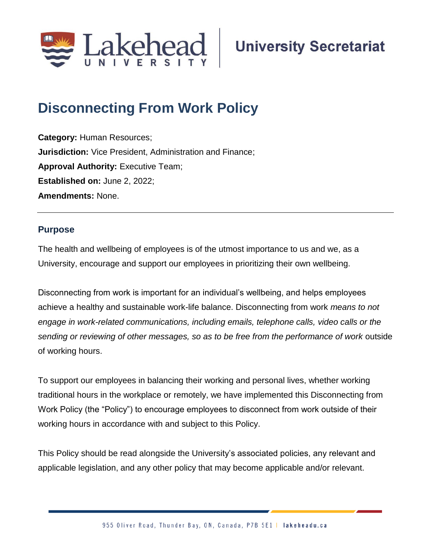

# **Disconnecting From Work Policy**

**Category:** Human Resources; **Jurisdiction:** Vice President, Administration and Finance; **Approval Authority: Executive Team; Established on:** June 2, 2022; **Amendments:** None.

# **Purpose**

The health and wellbeing of employees is of the utmost importance to us and we, as a University, encourage and support our employees in prioritizing their own wellbeing.

Disconnecting from work is important for an individual's wellbeing, and helps employees achieve a healthy and sustainable work-life balance. Disconnecting from work *means to not engage in work-related communications, including emails, telephone calls, video calls or the sending or reviewing of other messages, so as to be free from the performance of work* outside of working hours.

To support our employees in balancing their working and personal lives, whether working traditional hours in the workplace or remotely, we have implemented this Disconnecting from Work Policy (the "Policy") to encourage employees to disconnect from work outside of their working hours in accordance with and subject to this Policy.

This Policy should be read alongside the University's associated policies, any relevant and applicable legislation, and any other policy that may become applicable and/or relevant.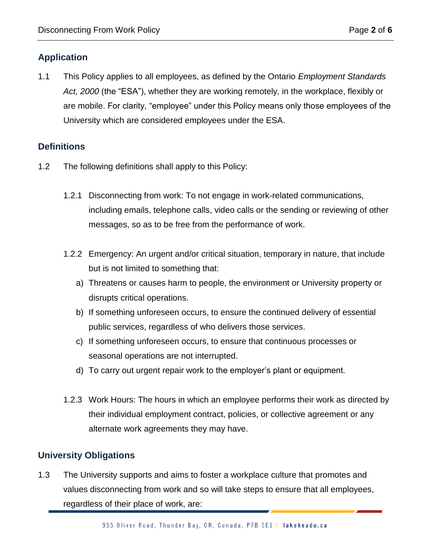# **Application**

1.1 This Policy applies to all employees, as defined by the Ontario *Employment Standards Act, 2000* (the "ESA"), whether they are working remotely, in the workplace, flexibly or are mobile. For clarity, "employee" under this Policy means only those employees of the University which are considered employees under the ESA.

# **Definitions**

- 1.2 The following definitions shall apply to this Policy:
	- 1.2.1 Disconnecting from work: To not engage in work-related communications, including emails, telephone calls, video calls or the sending or reviewing of other messages, so as to be free from the performance of work.
	- 1.2.2 Emergency: An urgent and/or critical situation, temporary in nature, that include but is not limited to something that:
		- a) Threatens or causes harm to people, the environment or University property or disrupts critical operations.
		- b) If something unforeseen occurs, to ensure the continued delivery of essential public services, regardless of who delivers those services.
		- c) If something unforeseen occurs, to ensure that continuous processes or seasonal operations are not interrupted.
		- d) To carry out urgent repair work to the employer's plant or equipment.
	- 1.2.3 Work Hours: The hours in which an employee performs their work as directed by their individual employment contract, policies, or collective agreement or any alternate work agreements they may have.

# **University Obligations**

1.3 The University supports and aims to foster a workplace culture that promotes and values disconnecting from work and so will take steps to ensure that all employees, regardless of their place of work, are: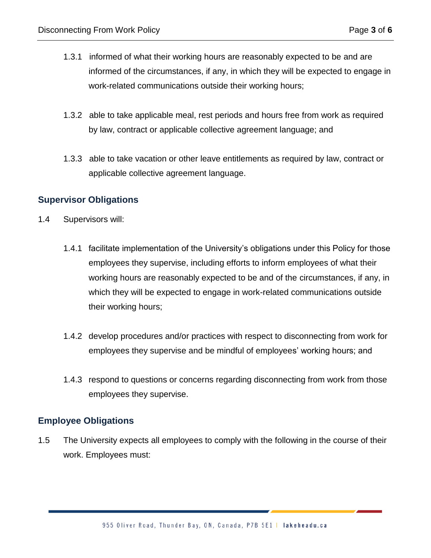- 1.3.1 informed of what their working hours are reasonably expected to be and are informed of the circumstances, if any, in which they will be expected to engage in work-related communications outside their working hours;
- 1.3.2 able to take applicable meal, rest periods and hours free from work as required by law, contract or applicable collective agreement language; and
- 1.3.3 able to take vacation or other leave entitlements as required by law, contract or applicable collective agreement language.

## **Supervisor Obligations**

- 1.4 Supervisors will:
	- 1.4.1 facilitate implementation of the University's obligations under this Policy for those employees they supervise, including efforts to inform employees of what their working hours are reasonably expected to be and of the circumstances, if any, in which they will be expected to engage in work-related communications outside their working hours;
	- 1.4.2 develop procedures and/or practices with respect to disconnecting from work for employees they supervise and be mindful of employees' working hours; and
	- 1.4.3 respond to questions or concerns regarding disconnecting from work from those employees they supervise.

#### **Employee Obligations**

1.5 The University expects all employees to comply with the following in the course of their work. Employees must: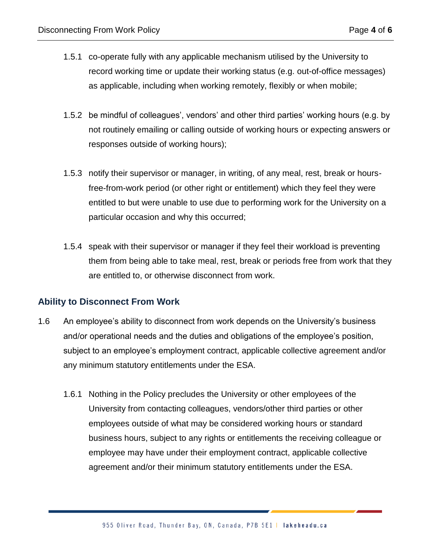- 1.5.1 co-operate fully with any applicable mechanism utilised by the University to record working time or update their working status (e.g. out-of-office messages) as applicable, including when working remotely, flexibly or when mobile;
- 1.5.2 be mindful of colleagues', vendors' and other third parties' working hours (e.g. by not routinely emailing or calling outside of working hours or expecting answers or responses outside of working hours);
- 1.5.3 notify their supervisor or manager, in writing, of any meal, rest, break or hoursfree-from-work period (or other right or entitlement) which they feel they were entitled to but were unable to use due to performing work for the University on a particular occasion and why this occurred;
- 1.5.4 speak with their supervisor or manager if they feel their workload is preventing them from being able to take meal, rest, break or periods free from work that they are entitled to, or otherwise disconnect from work.

# **Ability to Disconnect From Work**

- 1.6 An employee's ability to disconnect from work depends on the University's business and/or operational needs and the duties and obligations of the employee's position, subject to an employee's employment contract, applicable collective agreement and/or any minimum statutory entitlements under the ESA.
	- 1.6.1 Nothing in the Policy precludes the University or other employees of the University from contacting colleagues, vendors/other third parties or other employees outside of what may be considered working hours or standard business hours, subject to any rights or entitlements the receiving colleague or employee may have under their employment contract, applicable collective agreement and/or their minimum statutory entitlements under the ESA.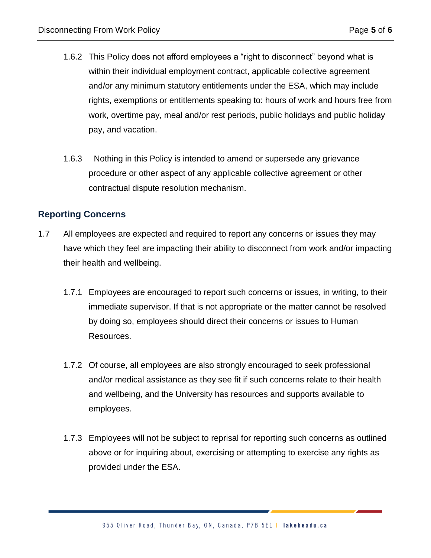- 1.6.2 This Policy does not afford employees a "right to disconnect" beyond what is within their individual employment contract, applicable collective agreement and/or any minimum statutory entitlements under the ESA, which may include rights, exemptions or entitlements speaking to: hours of work and hours free from work, overtime pay, meal and/or rest periods, public holidays and public holiday pay, and vacation.
- 1.6.3 Nothing in this Policy is intended to amend or supersede any grievance procedure or other aspect of any applicable collective agreement or other contractual dispute resolution mechanism.

## **Reporting Concerns**

- 1.7 All employees are expected and required to report any concerns or issues they may have which they feel are impacting their ability to disconnect from work and/or impacting their health and wellbeing.
	- 1.7.1 Employees are encouraged to report such concerns or issues, in writing, to their immediate supervisor. If that is not appropriate or the matter cannot be resolved by doing so, employees should direct their concerns or issues to Human Resources.
	- 1.7.2 Of course, all employees are also strongly encouraged to seek professional and/or medical assistance as they see fit if such concerns relate to their health and wellbeing, and the University has resources and supports available to employees.
	- 1.7.3 Employees will not be subject to reprisal for reporting such concerns as outlined above or for inquiring about, exercising or attempting to exercise any rights as provided under the ESA.